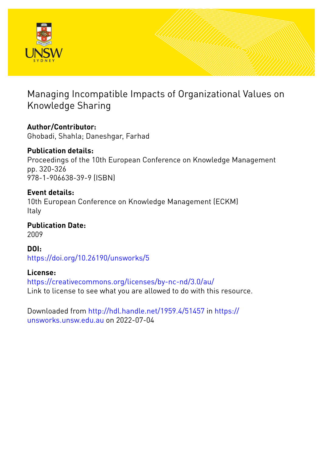

# Managing Incompatible Impacts of Organizational Values on Knowledge Sharing

# **Author/Contributor:**

Ghobadi, Shahla; Daneshgar, Farhad

# **Publication details:**

Proceedings of the 10th European Conference on Knowledge Management pp. 320-326 978-1-906638-39-9 (ISBN)

# **Event details:**

10th European Conference on Knowledge Management (ECKM) Italy

**Publication Date:** 2009

**DOI:** [https://doi.org/10.26190/unsworks/5](http://dx.doi.org/https://doi.org/10.26190/unsworks/5)

# **License:**

<https://creativecommons.org/licenses/by-nc-nd/3.0/au/> Link to license to see what you are allowed to do with this resource.

Downloaded from <http://hdl.handle.net/1959.4/51457> in [https://](https://unsworks.unsw.edu.au) [unsworks.unsw.edu.au](https://unsworks.unsw.edu.au) on 2022-07-04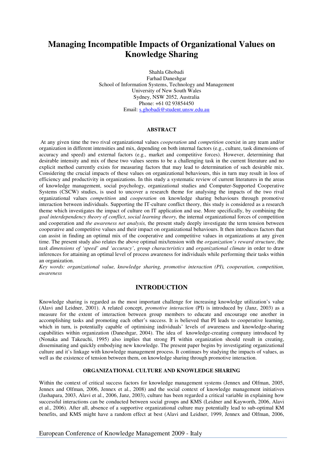# **Managing Incompatible Impacts of Organizational Values on Knowledge Sharing**

Shahla Ghobadi Farhad Daneshgar School of Information Systems, Technology and Management University of New South Wales Sydney, NSW 2052, Australia Phone: +61 02 93854450 Email: s.ghobadi@student.unsw.edu.au

#### **ABSTRACT**

At any given time the two rival organizational values *cooperation* and *competition* coexist in any team and/or organization in different intensities and mix, depending on both internal factors (e.g., culture, task dimensions of accuracy and speed) and external factors (e.g., market and competitive forces). However, determining that desirable intensity and mix of these two values seems to be a challenging task in the current literature and no explicit method currently exists for measuring factors that may lead to determination of such desirable mix. Considering the crucial impacts of these values on organizational behaviours, this in turn may result in loss of efficiency and productivity in organizations. In this study a systematic review of current literatures in the areas of knowledge management, social psychology, organizational studies and Computer-Supported Cooperative Systems (CSCW) studies, is used to uncover a research theme for analysing the impacts of the two rival organizational values *competition* and *cooperation* on knowledge sharing behaviours through promotive interaction between individuals. Supporting the IT-culture conflict theory, this study is considered as a research theme which investigates the impact of culture on IT application and use. More specifically, by combining the *goal interdependency theory of conflict*, *social learning theory,* the internal organizational forces of competition and cooperation and *the awareness net analysis,* the present study deeply investigate the term tension between cooperative and competitive values and their impact on organizational behaviours. It then introduces factors that can assist in finding an optimal mix of the cooperative and competitive values in organizations at any given time. The present study also relates the above optimal mix/tension with the *organization's reward structure*, the *task dimensions of 'speed' and 'accuracy'*, *group characteristics* and *organizational climate* in order to draw inferences for attaining an optimal level of process awareness for individuals while performing their tasks within an organization.

*Key words: organizational value, knowledge sharing, promotive interaction (PI), cooperation, competition, awareness* 

### **INTRODUCTION**

Knowledge sharing is regarded as the most important challenge for increasing knowledge utilization's value (Alavi and Leidner, 2001). A related concept, *promotive interaction* (PI) is introduced by (Janz, 2003) as a measure for the extent of interaction between group members to educate and encourage one another in accomplishing tasks and promoting each other's success. It is believed that PI leads to cooperative learning, which in turn, is potentially capable of optimising individuals' levels of awareness and knowledge-sharing capabilities within organization (Daneshgar, 2004). The idea of knowledge-creating company introduced by (Nonaka and Takeuchi, 1995) also implies that strong PI within organization should result in creating, disseminating and quickly embodying new knowledge. The present paper begins by investigating organizational culture and it's linkage with knowledge management process. It continues by studying the impacts of values, as well as the existence of tension between them, on knowledge sharing through promotive interaction.

#### **ORGANIZATIONAL CULTURE AND KNOWLEDGE SHARING**

Within the context of critical success factors for knowledge management systems (Jennex and Olfman, 2005, Jennex and Olfman, 2006, Jennex et al., 2008) and the social context of knowledge management initiatives (Jashapara, 2003, Alavi et al., 2006, Janz, 2003), culture has been regarded a critical variable in explaining how successful interactions can be conducted between social groups and KMS (Leidner and Kayworth, 2006, Alavi et al., 2006). After all, absence of a supportive organizational culture may potentially lead to sub-optimal KM benefits, and KMS might have a random effect at best (Alavi and Leidner, 1999, Jennex and Olfman, 2006,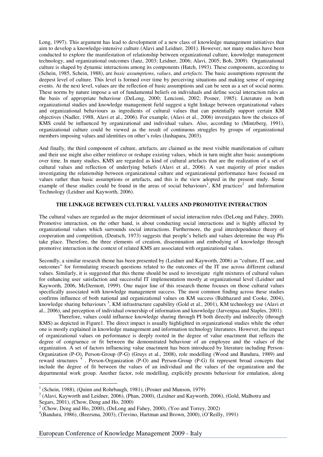Long, 1997). This argument has lead to development of a new class of knowledge management initiatives that aim to develop a knowledge-intensive culture (Alavi and Leidner, 2001). However, not many studies have been conducted to explore the manifestation of relationship between organizational culture, knowledge management technology, and organizational outcomes (Janz, 2003; Leidner, 2006; Alavi, 2005; Boh, 2009). Organizational culture is shaped by dynamic interactions among its components (Hatch, 1993). These components, according to (Schein, 1985, Schein, 1988), are *basic assumptions*, *values*, and *artefacts*. The basic assumptions represent the deepest level of culture. This level is formed over time by perceiving situations and making sense of ongoing events. At the next level, values are the reflection of basic assumptions and can be seen as a set of social norms. These norms by nature impose a set of fundamental beliefs on individuals and define social interaction rules as the basis of appropriate behaviour (DeLong, 2000; Lencioni, 2002; Posner, 1985). Literature on both organizational studies and knowledge management field suggest a tight linkage between organizational values and organizational behaviours as ingredients of cultural values that can potentially support certain KM objectives (Nadler, 1988, Alavi et al., 2006). For example, (Alavi et al., 2006) investigates how the choices of KMS could be influenced by organizational and individual values. Also, according to (Mintzberg, 1991), organizational culture could be viewed as the result of continuous struggles by groups of organizational members imposing values and identities on other's roles (Jashapara, 2003).

And finally, the third component of culture, artefacts, are claimed as the most visible manifestation of culture and their use might also either reinforce or reshape existing values, which in turn might alter basic assumptions over time. In many studies, KMS are regarded as kind of cultural artefacts that are the realization of a set of cultural values and reflection of underlying beliefs (Alavi et al., 2006). A vast majority of prior studies investigating the relationship between organizational culture and organizational performance have focused on values rather than basic assumptions or artefacts, and this is the view adopted in the present study. Some example of these studies could be found in the areas of social behaviours<sup>1</sup>, KM practices<sup>2</sup> and Information Technology (Leidner and Kayworth, 2006).

### **THE LINKAGE BETWEEN CULTURAL VALUES AND PROMOTIVE INTERACTION**

The cultural values are regarded as the major determinant of social interaction rules (DeLong and Fahey, 2000). Promotive interaction, on the other hand, is about conducting social interactions and is highly affected by organizational values which surrounds social interactions. Furthermore, the goal interdependence theory of cooperation and competition, (Deutsch, 1973) suggests that people's beliefs and values determine the way PIs take place. Therefore, the three elements of creation, dissemination and embodying of knowledge through promotive interaction in the context of related KMS are associated with organizational values.

Secondly, a similar research theme has been presented by (Leidner and Kayworth, 2006) as "culture, IT use, and outcomes" for formulating research questions related to the outcomes of the IT use across different cultural values. Similarly, it is suggested that this theme should be used to investigate right mixtures of cultural values for enhancing user satisfaction and successful IT implementation mostly at organizational level (Leidner and Kayworth, 2006, McDermott, 1999). One major line of this research theme focuses on those cultural values specifically associated with knowledge management success. The most common finding across these studies confirms influence of both national and organizational values on KM success (Balthazard and Cooke, 2004), knowledge sharing behaviours<sup>3</sup>, KM infrastructure capability (Gold et al., 2001), KM technology use (Alavi et al., 2006), and perception of individual ownership of information and knowledge (Jarvenpaa and Staples, 2001).

Therefore, values could influence knowledge sharing through PI both directly and indirectly (through KMS) as depicted in Figure1. The direct impact is usually highlighted in organizational studies while the other one is mostly explained in knowledge management and information technology literatures. However, the impact of organizational values on performance is deeply rooted in the degree of value enactment that reflects the degree of congruence or fit between the demonstrated behaviour of an employee and the values of the organization. A set of factors influencing value enactment has been introduced by literature including Person-Organization (P-O), Person-Group (P-G) (Gruys et al., 2008), role modelling (Wood and Bandura, 1989) and reward structures <sup>4</sup>. Person-Organization (P-O) and Person-Group (P-G) fit represent broad concepts that include the degree of fit between the values of an individual and the values of the organization and the departmental work group. Another factor, role modelling, explicitly presents behaviour for emulation, along

 $\overline{a}$ 

 $1$  (Schein, 1988), (Quinn and Rohrbaugh, 1981), (Posner and Munson, 1979)

 $2^{2}$  (Alavi, Kayworth and Leidner, 2006), (Phan, 2000), (Leidner and Kayworth, 2006), (Gold, Malhotra and Segars, 2001), (Chow, Deng and Ho, 2000)

<sup>3</sup> (Chow, Deng and Ho, 2000), (DeLong and Fahey, 2000), (Yoo and Torrey, 2002)

<sup>4</sup> (Bandura, 1986), (Beersma, 2003), (Trevino, Hartman and Brown, 2000), (O'Reilly, 1991)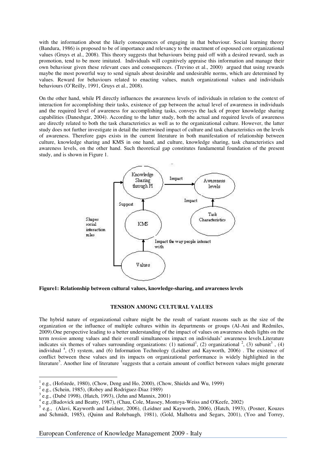with the information about the likely consequences of engaging in that behaviour. Social learning theory (Bandura, 1986) is proposed to be of importance and relevancy to the enactment of espoused core organizational values (Gruys et al., 2008). This theory suggests that behaviours being paid off with a desired reward, such as promotion, tend to be more imitated. Individuals will cognitively appraise this information and manage their own behaviour given these relevant cues and consequences. (Trevino et al., 2000) argued that using rewards maybe the most powerful way to send signals about desirable and undesirable norms, which are determined by values. Reward for behaviours related to enacting values, match organizational values and individuals behaviours (O'Reilly, 1991, Gruys et al., 2008).

On the other hand, while PI directly influences the awareness levels of individuals in relation to the context of interaction for accomplishing their tasks, existence of gap between the actual level of awareness in individuals and the required level of awareness for accomplishing tasks, conveys the lack of proper knowledge sharing capabilities (Daneshgar, 2004). According to the latter study, both the actual and required levels of awareness are directly related to both the task characteristics as well as to the organizational culture. However, the latter study does not further investigate in detail the intertwined impact of culture and task characteristics on the levels of awareness. Therefore gaps exists in the current literature in both manifestation of relationship between culture, knowledge sharing and KMS in one hand, and culture, knowledge sharing, task characteristics and awareness levels, on the other hand. Such theoretical gap constitutes fundamental foundation of the present study, and is shown in Figure 1.



**Figure1: Relationship between cultural values, knowledge-sharing, and awareness levels** 

### **TENSION AMONG CULTURAL VALUES**

The hybrid nature of organizational culture might be the result of variant reasons such as the size of the organization or the influence of multiple cultures within its departments or groups (Al-Ani and Redmiles, 2009).One perspective leading to a better understanding of the impact of values on awareness sheds lights on the term *tension* among values and their overall simultaneous impact on individuals' awareness levels.Literature indicates six themes of values surrounding organizations: (1) national<sup>1</sup>, (2) organizational <sup>2</sup>, (3) subunit<sup>3</sup>, (4) individual<sup>4</sup>, (5) system, and (6) Information Technology (Leidner and Kayworth, 2006). The existence of conflict between these values and its impacts on organizational performance is widely highlighted in the literature<sup>5</sup>. Another line of literature <sup>1</sup>suggests that a certain amount of conflict between values might generate

 $\overline{a}$ 

<sup>1</sup> e.g., (Hofstede, 1980), (Chow, Deng and Ho, 2000), (Chow, Shields and Wu, 1999)

 $2$  e.g., (Schein, 1985), (Robey and Rodriguez-Diaz 1989)

 $3$  e.g., (Dubé 1998), (Hatch, 1993), (Jehn and Mannix, 2001)

<sup>&</sup>lt;sup>4</sup> e.g., (Badovick and Beatty, 1987), (Chau, Cole, Massey, Montoya-Weiss and O'Keefe, 2002)

<sup>&</sup>lt;sup>5</sup> e.g., (Alavi, Kayworth and Leidner, 2006), (Leidner and Kayworth, 2006), (Hatch, 1993), (Posner, Kouzes and Schmidt, 1985), (Quinn and Rohrbaugh, 1981), (Gold, Malhotra and Segars, 2001), (Yoo and Torrey,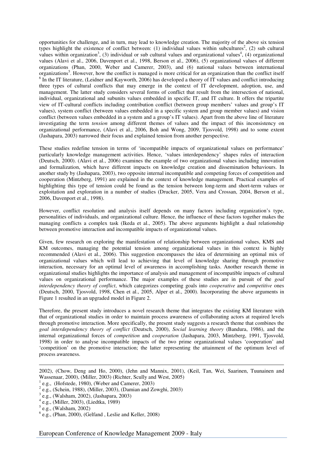opportunities for challenge, and in turn, may lead to knowledge creation. The majority of the above six tension types highlight the existence of conflict between: (1) individual values within subcultures<sup>2</sup>, (2) sub cultural values within organization<sup>3</sup>, (3) individual or sub cultural values and organizational values<sup>4</sup>, (4) organizational values (Alavi et al., 2006, Davenport et al., 1998, Berson et al., 2006), (5) organizational values of different organizations (Phan, 2000, Weber and Camerer, 2003), and (6) national values between international organizations<sup>5</sup>. However, how the conflict is managed is more critical for an organization than the conflict itself  $6$  In the IT literature, (Leidner and Kayworth, 2006) has developed a theory of IT values and conflict introducing three types of cultural conflicts that may emerge in the context of IT development, adoption, use, and management. The latter study considers several forms of conflict that result from the intersection of national, individual, organizational and subunits values embedded in specific IT, and IT culture. It offers the tripartite view of IT-cultural conflicts including contribution conflict (between group members' values and group's IT values), system conflict (between values embedded in a specific system and group member values) and vision conflict (between values embedded in a system and a group's IT values). Apart from the above line of literature investigating the term *tension* among different themes of values and the impact of this inconsistency on organizational performance, (Alavi et al., 2006, Boh and Wong, 2009, Tjosvold, 1998) and to some extent (Jashapara, 2003) narrowed their focus and explained tension from another perspective.

These studies redefine tension in terms of 'incompatible impacts of organizational values on performance' particularly knowledge management activities. Hence, 'values interdependency' shapes rules of interaction (Deutsch, 2000). (Alavi et al., 2006) examines the example of two organizational values including innovation and formalization, which have different impacts on knowledge creation and dissemination behaviours. In another study by (Jashapara, 2003), two opposite internal incompatible and competing forces of competition and cooperation (Mintzberg, 1991) are explained in the context of knowledge management. Practical examples of highlighting this type of tension could be found as the tension between long-term and short-term values or exploitation and exploration in a number of studies (Drucker, 2005, Vera and Crossan, 2004, Berson et al., 2006, Davenport et al., 1998).

However, conflict resolution and analysis itself depends on many factors including organization's type, personalities of individuals, and organizational culture. Hence, the influence of these factors together makes the managing conflicts a complex task (Ikeda et al., 2005). The above arguments highlight a dual relationship between promotive interaction and incompatible impacts of organizational values.

Given, few research on exploring the manifestation of relationship between organizational values, KMS and KM outcomes, managing the potential tension among organizational values in this context is highly recommended (Alavi et al., 2006). This suggestion encompasses the idea of determining an optimal mix of organizational values which will lead to achieving that level of knowledge sharing through promotive interaction, necessary for an optimal level of awareness in accomplishing tasks. Another research theme in organizational studies highlights the importance of analysis and management of incompatible impacts of cultural values on organizational performance. The major examples of these studies are in pursuit of the *goal interdependency theory of conflict*, which categorizes competing goals into *cooperative* and *competitive* ones (Deutsch, 2000, Tjosvold, 1998, Chen et al., 2005, Alper et al., 2000). Incorporating the above arguments in Figure 1 resulted in an upgraded model in Figure 2.

Therefore, the present study introduces a novel research theme that integrates the existing KM literature with that of organizational studies in order to maintain process awareness of collaborating actors at required levels through promotive interaction. More specifically, the present study suggests a research theme that combines the *goal interdependency theory of conflict* (Deutsch, 2000), *Social learning theory* (Bandura, 1986), and the internal organizational forces of *competition* and *cooperation* (Jashapara, 2003, Mintzberg, 1991, Tjosvold, 1998) in order to analyse incompatible impacts of the two prime organizational values 'cooperation' and 'competition' on the promotive interaction; the latter representing the attainment of the optimum level of process awareness.

 $\overline{a}$ 

<sup>2002), (</sup>Chow, Deng and Ho, 2000), (Jehn and Mannix, 2001), (Keil, Tan, Wei, Saarinen, Tuunainen and Wassenaar, 2000), (Miller, 2003) (Richter, Scully and West, 2005)

<sup>1</sup> e.g., (Hofstede, 1980), (Weber and Camerer, 2003)

 $2$  e.g., (Schein, 1988), (Miller, 2003), (Damian and Zowghi, 2003)

<sup>3</sup> e.g., (Walsham, 2002), (Jashapara, 2003)

<sup>4</sup> e.g., (Miller, 2003), (Liedtka, 1989)

 $<sup>5</sup>$  e.g., (Walsham, 2002)</sup>

<sup>6</sup> e.g., (Phan, 2000), (Gelfand , Leslie and Keller, 2008)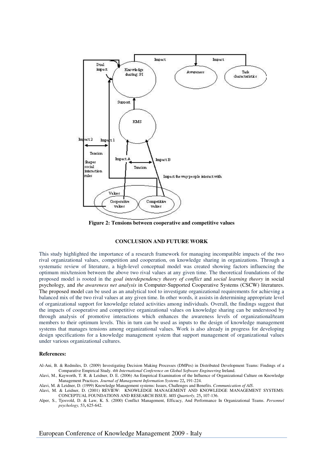

**Figure 2: Tensions between cooperative and competitive values** 

### **CONCLUSION AND FUTURE WORK**

This study highlighted the importance of a research framework for managing incompatible impacts of the two rival organizational values, competition and cooperation, on knowledge sharing in organizations. Through a systematic review of literature, a high-level conceptual model was created showing factors influencing the optimum mix/tension between the above two rival values at any given time. The theoretical foundations of the proposed model is rooted in the *goal interdependency theory of conflict* and *social learning theory* in social psychology*,* and *the awareness net analysis* in Computer-Supported Cooperative Systems (CSCW) literatures. The proposed model can be used as an analytical tool to investigate organizational requirements for achieving a balanced mix of the two rival values at any given time. In other words, it assists in determining appropriate level of organizational support for knowledge related activities among individuals. Overall, the findings suggest that the impacts of cooperative and competitive organizational values on knowledge sharing can be understood by through analysis of promotive interactions which enhances the awareness levels of organizational/team members to their optimum levels. This in turn can be used as inputs to the design of knowledge management systems that manages tensions among organizational values. Work is also already in progress for developing design specifications for a knowledge management system that support management of organizational values under various organizational cultures.

### **References:**

- Al-Ani, B. & Redmiles, D. (2009) Investigating Decision Making Processes (DMPes) in Distributed Development Teams: Findings of a Comparative Empirical Study. *4th International Conference on Global Software Engineering* Ireland.
- Alavi, M., Kayworth, T. R. & Leidner, D. E. (2006) An Empirical Examination of the Influence of Organizational Culture on Knowledge Management Practices. *Journal of Management Information Systems* 22**,** 191-224.
- Alavi, M. & Leidner, D. (1999) Knowledge Management systems: Issues, Challenges and Benefits. *Communication of AIS*.
- Alavi, M. & Leidner, D. (2001) REVIEW: KNOWLEDGE MANAGEMENT AND KNOWLEDGE MANAGEMENT SYSTEMS: CONCEPTUAL FOUNDATIONS AND RESEARCH ISSUE. *MIS Quarterly,* 25**,** 107-136.
- Alper, S., Tjosvold, D. & Law, K. S. (2000) Conflict Management, Efficacy, And Performance In Organizational Teams. *Personnel psychology,* 53**,** 625-642.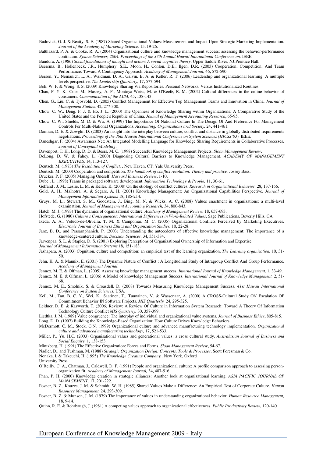Badovick, G. J. & Beatty, S. E. (1987) Shared Organizational Values: Measurement and Impact Upon Strategic Marketing Implementation. *Journal of the Academy of Marketing Science,* 15**,** 19-26.

Balthazard, P. A. & Cooke, R. A. (2004) Organizational culture and knowledge management success: assessing the behavior-performance continuum. *System Sciences, 2004. Proceedings of the 37th Annual Hawaii International Conference on.* IEEE.

Bandura, A. (1986) *Social foundations of thought and action: A social cognitive theory*, Upper Saddle River, NJ:Prentice Hall.

Beersma, B., Hollenbeck, J.R., Humphery, S.E., Moon, H., Conlon, D.E., Ilgen, D.R. (2003) Cooperation, Competition, And Team Performance: Toward A Contingency Approach. *Academy of Management Journal,* 46**,** 572-590.

Berson, Y., Nemanich, L. A., Waldman, D. A., Galvin, B. A. & Keller, R. T. (2006) Leadership and organizational learning: A multiple levels perspective. *The Leadership Quarterly,* 17**,** 577-594.

Boh, W. F. & Wong, S. S. (2009) Knowledge Sharing Via Repositories, Personal Networks, Versus Institutionalized Routines.

Chau, P. Y. K., Cole, M., Massey, A. P., Montoya-Weiss, M. & O'Keefe, R. M. (2002) Cultural differences in the online behavior of consumers. *Communication of the ACM,* 45**,** 138-143.

Chen, G., Liu, C. & Tjosvold, D. (2005) Conflict Management for Effective Top Management Teams and Innovation in China. *Journal of Management Studies,* 42**,** 277-300.

Chow, C. W., Deng, F. J. & Ho, J. L. (2000) The Openness of Knowledge Sharing within Organizations: A Comparative Study of the United States and the People's Republic of China. *Joumal of Management Accounting Research***,** 65-95.

Chow, C. W., Shields, M. D. & Wu, A. (1999) The Importance Of National Culture In The Design Of And Preference For Management Controls For Multi-National Organizations. *Accounting. Organizations arid Society,* 24**,** 441-461.

Damian, D. E. & Zowghi, D. (2003) An insight into the interplay between culture, conflict and distance in globally distributed requirements negotiations. *Proceedings of the 36th Hawaii International Conference on System Sciences (HICSS'03).* IEEE.

Daneshgar, F. (2004) Awareness Net: An Integrated Modelling Language for Knowledge Sharing Requirements in Collaborative Processes. *Journal of Conceptual Modeling*.

Davenport, T. H., Long, D. D. & Beers, M. C. (1998) Successful Knowledge Management Projects. *Sloan Management Review*.

DeLong, D. W. & Fahey, L. (2000) Diagnosing Cultural Barriers to Knowledge Management. *ACADEMY OF MANAGEMENT EXECUTIVES,* 14**,** 113-127.

Deutsch, M. (1973) *The Resolution of Conflict.* , New Haven, CT: Yale University Press.

Deutsch, M. (2000) Cooperation and competition. *The handbook of conflict resolution: Theory and practice.* Jossey Bass.

Drucker, P. F. (2005) Managing Oneself. *Harvard Business Review***,** 1-10.

Dubé , L. (1998) Teams in packaged software development. *Information Technology & People,* 11**,** 36-61.

Gelfand , J. M., Leslie, L. M. & Keller, K. (2008) On the etiology of conflict cultures. *Research in Organizational Behavior,* 28**,** 137-166.

- Gold, A. H., Malhotra, A. & Segars, A. H. (2001) Knowledge Management: An Organizational Capabilities Perspective. *Journal of Management Information Systems* 18**,** 185-214.
- Gruys, M. L., Stewart, S. M., Goodstein, J., Bing, M. N. & Wicks, A. C. (2008) Values enactment in organizations: a multi-level examination. *Journal of Management Accounting Research,* 34**,** 806-843.

Hatch, M. J. (1993) The dynamics of organizational culture. *Academy of Management Review,* 18**,** 657-693.

Hofstede, G. (1980) *Culture's Consequences: International Differences in Work-Related Values*, Sage Publications, Beverly Hills, CA.

- Ikeda, A. A., Veludo-de-Oliveira, T. M. & Campomar, M. C. (2005) Organizational Conflicts Perceived by Marketing Executives. *Electronic Journal of Business Ethics and Organization Studies,* 10**,** 22-28.
- Janz, B. D., and Prasarnphanich, P. (2003) Understanding the antecedents of effective knowledge management: The importance of a knowledge-centered culture. *Decision Sciences,* 34**,** 351-384.

Jarvenpaa, S. L. & Staples, D. S. (2001) Exploring Perceptions of Organizational Ownership of Information and Expertise

*Journal of Management Information Systems* 18**,** 151-183.

Jashapara, A. (2003) Cognition, culture and competition: an empirical test of the learning organization. *The Learning organization,* 10**,** 31- 50.

- Jehn, K. A. & Mannix, E. (2001) The Dynamic Nature of Conflict : A Longitudinal Study of Intragroup Conflict And Group Performance. *Academy of Management Journal*.
- Jennex, M. E. & Olfman, L. (2005) Assessing knowledge management success. *International Journal of Knowledge Management,* 1**,** 33-49.

Jennex, M. E. & Olfman, L. (2006) A Model of knowledge Management Success. *International Journal of Knowledge Management,* 2**,** 51- 68.

Jennex, M. E., Smolnik, S. & Croasdell, D. (2008) Towards Measuring Knowledge Management Success. *41st Hawaii International Conference on System Sciences.* USA.

Keil, M., Tan, B. C. Y., Wei, K., Saarinen, T., Tuunainen, V. & Wassenaar, A. (2000) A CROSS-Cultural Study ON Escalation OF Commitment Behavior IN Software Projects. *MIS Quarterly,* 24**,** 295-325.

Leidner, D. E. & Kayworth, T. (2006) Review: A Review Of Culture in Information System Research: Toward A Theory Of Information Technology Culture Conflict *MIS Quarteriy,* 30**,** 357-399.

Liedtka, J. M. (1989) Value congruence: The interplay of individual and organizational value systems. *Journal of Business Ethics***,** 805-815.

Long, D. D. (1997) Building the Knowledge-Based Organization: How Culture Drives Knowledge Behaviors. McDermott, C. M., Stock, G.N. (1999) Organizational culture and advanced manufacturing technology implementation. *Organizational culture and advanced manufacturing technology,* 17**,** 521-533.

Miller, P., Yu, H.C. (2003) Organisational values and generational values: a cross cultural study. *Australasian Journal of Business and Social Enquiry,* 1**,** 138-153.

Mintzberg, H. (1991) The Effective Organization: Forces and Forms. *Sloan Management Review***,** 54-67.

Nadler, D., and Tushman, M. (1988) *Strategic Organization Design: Concepts, Tools & Processes*, Scott Foresman & Co.

Nonaka, I. & Takeuchi, H. (1995) *The Knowledge Creating Company.,* New York, Oxford

University Press.

O'Reilly, C. A., Chatman, J., Caldwell, D. F. (1991) People and organizational culture: A profile comparison approach to assessing personorganization fit. *Academy of Management Journal,* 34**,** 487-516.

Phan, P. H. (2000) Knowledge creation in strategic alliances: Another look at organizational learning. *ASIA PACIFIC JOURNAL OF MANAGEMENT,* 17**,** 201-222.

Posner, B. Z., Kouzes, J. M. & Schmidt, W. H. (1985) Shared Values Make a Difference: An Empirical Test of Corporate Culture. *Human Resource Management,* 24**,** 293-309.

Posner, B. Z. & Munson, J. M. (1979) The importance of values in understanding organizational behavior. *Human Resource Management,* 18**,** 9-14.

Quinn, R. E. & Rohrbaugh, J. (1981) A competing values approach to organizational effectiveness. *Public Productivity Review***,** 120-140.

European Conference of Knowledge Management 2009 - Italy